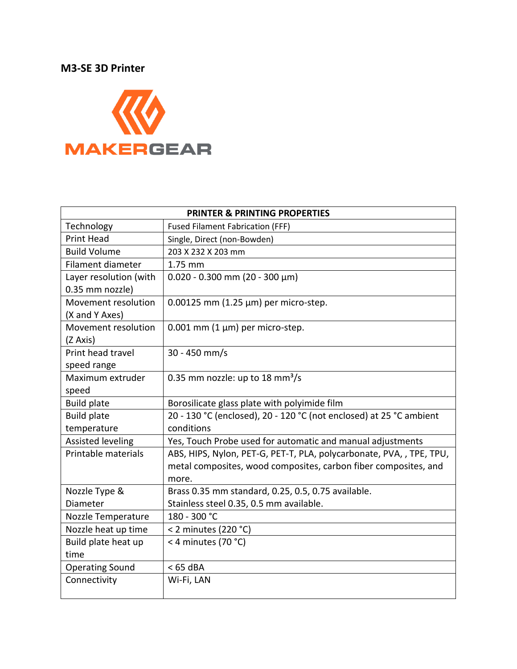## **M3-SE 3D Printer**



| <b>PRINTER &amp; PRINTING PROPERTIES</b> |                                                                      |
|------------------------------------------|----------------------------------------------------------------------|
| Technology                               | <b>Fused Filament Fabrication (FFF)</b>                              |
| <b>Print Head</b>                        | Single, Direct (non-Bowden)                                          |
| <b>Build Volume</b>                      | 203 X 232 X 203 mm                                                   |
| Filament diameter                        | 1.75 mm                                                              |
| Layer resolution (with                   | $0.020 - 0.300$ mm (20 - 300 µm)                                     |
| 0.35 mm nozzle)                          |                                                                      |
| Movement resolution                      | 0.00125 mm (1.25 µm) per micro-step.                                 |
| (X and Y Axes)                           |                                                                      |
| Movement resolution                      | $0.001$ mm (1 $\mu$ m) per micro-step.                               |
| (Z Axis)                                 |                                                                      |
| Print head travel                        | $30 - 450$ mm/s                                                      |
| speed range                              |                                                                      |
| Maximum extruder                         | 0.35 mm nozzle: up to 18 mm <sup>3</sup> /s                          |
| speed                                    |                                                                      |
| <b>Build plate</b>                       | Borosilicate glass plate with polyimide film                         |
| <b>Build plate</b>                       | 20 - 130 °C (enclosed), 20 - 120 °C (not enclosed) at 25 °C ambient  |
| temperature                              | conditions                                                           |
| Assisted leveling                        | Yes, Touch Probe used for automatic and manual adjustments           |
| Printable materials                      | ABS, HIPS, Nylon, PET-G, PET-T, PLA, polycarbonate, PVA, , TPE, TPU, |
|                                          | metal composites, wood composites, carbon fiber composites, and      |
|                                          | more.                                                                |
| Nozzle Type &                            | Brass 0.35 mm standard, 0.25, 0.5, 0.75 available.                   |
| Diameter                                 | Stainless steel 0.35, 0.5 mm available.                              |
| Nozzle Temperature                       | 180 - 300 °C                                                         |
| Nozzle heat up time                      | < 2 minutes (220 $°C$ )                                              |
| Build plate heat up                      | < 4 minutes (70 °C)                                                  |
| time                                     |                                                                      |
| <b>Operating Sound</b>                   | $<$ 65 dBA                                                           |
| Connectivity                             | Wi-Fi, LAN                                                           |
|                                          |                                                                      |